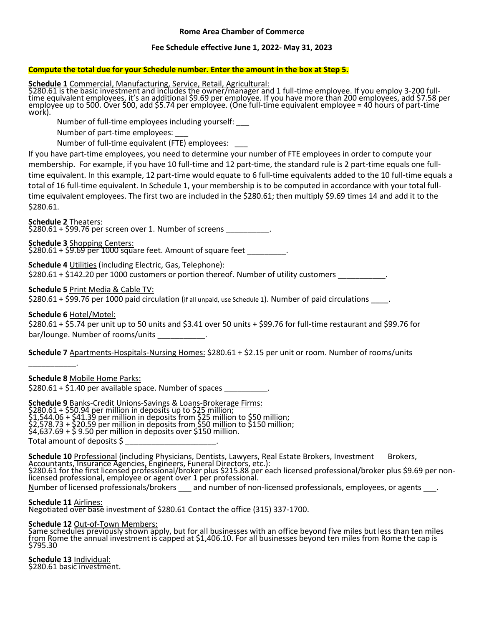### **Rome Area Chamber of Commerce**

### **Fee Schedule effective June 1, 2022- May 31, 2023**

# **Compute the total due for your Schedule number. Enter the amount in the box at Step 5.**

**Schedule 1** Commercial, Manufacturing, Service, Retail, Agricultural:

\$280.61 is the basic investment and includes the owner/manager and 1 full-time employee. If you employ 3-200 fulltime equivalent employees, it's an additional \$9.69 per employee. If you have more than 200 employees, add \$7.58 per employee up to 500. Over 500, add \$5.74 per employee. (One full-time equivalent employee = 40 hours of part-time work).

Number of full-time employees including yourself: \_\_\_

Number of part-time employees: \_\_\_

Number of full-time equivalent (FTE) employees: \_\_\_

If you have part-time employees, you need to determine your number of FTE employees in order to compute your membership. For example, if you have 10 full-time and 12 part-time, the standard rule is 2 part-time equals one fulltime equivalent. In this example, 12 part-time would equate to 6 full-time equivalents added to the 10 full-time equals a total of 16 full-time equivalent. In Schedule 1, your membership is to be computed in accordance with your total fulltime equivalent employees. The first two are included in the \$280.61; then multiply \$9.69 times 14 and add it to the \$280.61.

**Schedule 2** Theaters:

\$280.61 + \$<del>99.76 per</del> screen over 1. Number of screens \_\_\_\_\_\_\_\_\_\_\_\_.

**Schedule 3** Shopping Centers:

 $$280.61 + $9.69$  per 1000 square feet. Amount of square feet  $\qquad \qquad$ .

**Schedule 4** Utilities (including Electric, Gas, Telephone):

\$280.61 + \$142.20 per 1000 customers or portion thereof. Number of utility customers \_

## **Schedule 5** Print Media & Cable TV:

\$280.61 + \$99.76 per 1000 paid circulation (if all unpaid, use Schedule 1). Number of paid circulations \_\_\_\_\_.

## **Schedule 6** Hotel/Motel:

\_\_\_\_\_\_\_\_\_\_\_.

\$280.61 + \$5.74 per unit up to 50 units and \$3.41 over 50 units + \$99.76 for full-time restaurant and \$99.76 for bar/lounge. Number of rooms/units

**Schedule 7** Apartments-Hospitals-Nursing Homes: \$280.61 + \$2.15 per unit or room. Number of rooms/units

**Schedule 8** Mobile Home Parks:

 $$280.61 + $1.40$  per available space. Number of spaces

**Schedule 9** Banks-Credit Unions-Savings & Loans-Brokerage Firms: \$280.61 + \$50.94 per million in deposits up to \$25 million; \$1,544.06 + \$41.39 per million in deposits from \$25 million to \$50 million; \$2,578.73 + \$20.59 per million in deposits from \$50 million to \$150 million; \$4,637.69 + \$ 9.50 per million in deposits over \$150 million. Total amount of deposits \$ \_\_\_\_\_\_\_\_\_\_\_\_\_\_\_\_\_\_\_\_\_.

Schedule 10 Professional (including Physicians, Dentists, Lawyers, Real Estate Brokers, Investment Brokers, Accountants, Insurance Agencies, Engineers, Funeral Directors, etc.): \$280.61 for the first licensed professional/broker plus \$215.88 per each licensed professional/broker plus \$9.69 per nonlicensed professional, employee or agent over 1 per professional. Number of licensed professionals/brokers \_\_\_ and number of non-licensed professionals, employees, or agents \_\_\_.

**Schedule 11** Airlines: Negotiated over base investment of \$280.61 Contact the office (315) 337-1700.

**Schedule 12** Out-of-Town Members:

Same schedules previously shown apply, but for all businesses with an office beyond five miles but less than ten miles from Rome the annual investment is capped at \$1,406.10. For all businesses beyond ten miles from Rome the cap is \$795.30

**Schedule 13** Individual: \$280.61 basic investment.